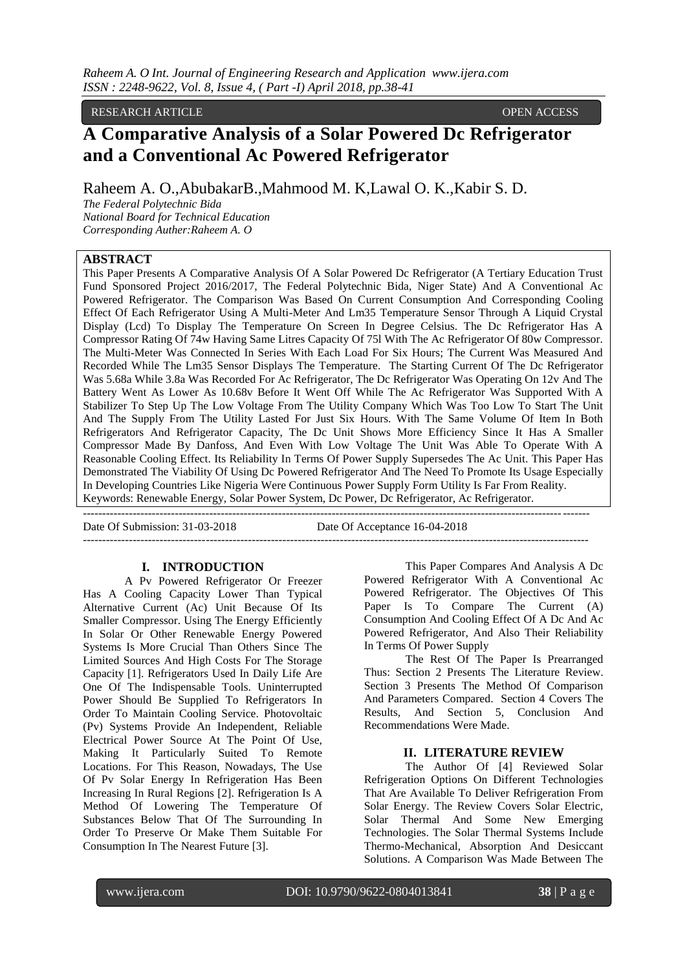RESEARCH ARTICLE **CONSERVERS** 

# **A Comparative Analysis of a Solar Powered Dc Refrigerator and a Conventional Ac Powered Refrigerator**

Raheem A. O.,AbubakarB.,Mahmood M. K,Lawal O. K.,Kabir S. D.

*The Federal Polytechnic Bida National Board for Technical Education Corresponding Auther:Raheem A. O*

## **ABSTRACT**

This Paper Presents A Comparative Analysis Of A Solar Powered Dc Refrigerator (A Tertiary Education Trust Fund Sponsored Project 2016/2017, The Federal Polytechnic Bida, Niger State) And A Conventional Ac Powered Refrigerator. The Comparison Was Based On Current Consumption And Corresponding Cooling Effect Of Each Refrigerator Using A Multi-Meter And Lm35 Temperature Sensor Through A Liquid Crystal Display (Lcd) To Display The Temperature On Screen In Degree Celsius. The Dc Refrigerator Has A Compressor Rating Of 74w Having Same Litres Capacity Of 75l With The Ac Refrigerator Of 80w Compressor. The Multi-Meter Was Connected In Series With Each Load For Six Hours; The Current Was Measured And Recorded While The Lm35 Sensor Displays The Temperature. The Starting Current Of The Dc Refrigerator Was 5.68a While 3.8a Was Recorded For Ac Refrigerator, The Dc Refrigerator Was Operating On 12v And The Battery Went As Lower As 10.68v Before It Went Off While The Ac Refrigerator Was Supported With A Stabilizer To Step Up The Low Voltage From The Utility Company Which Was Too Low To Start The Unit And The Supply From The Utility Lasted For Just Six Hours. With The Same Volume Of Item In Both Refrigerators And Refrigerator Capacity, The Dc Unit Shows More Efficiency Since It Has A Smaller Compressor Made By Danfoss, And Even With Low Voltage The Unit Was Able To Operate With A Reasonable Cooling Effect. Its Reliability In Terms Of Power Supply Supersedes The Ac Unit. This Paper Has Demonstrated The Viability Of Using Dc Powered Refrigerator And The Need To Promote Its Usage Especially In Developing Countries Like Nigeria Were Continuous Power Supply Form Utility Is Far From Reality. Keywords: Renewable Energy, Solar Power System, Dc Power, Dc Refrigerator, Ac Refrigerator.

------------------------------------------------------------------------------------------------------------------------------------ Date Of Submission: 31-03-2018 Date Of Acceptance 16-04-2018 ------------------------------------------------------------------------------------------------------------------------------------

## **I. INTRODUCTION**

A Pv Powered Refrigerator Or Freezer Has A Cooling Capacity Lower Than Typical Alternative Current (Ac) Unit Because Of Its Smaller Compressor. Using The Energy Efficiently In Solar Or Other Renewable Energy Powered Systems Is More Crucial Than Others Since The Limited Sources And High Costs For The Storage Capacity [1]. Refrigerators Used In Daily Life Are One Of The Indispensable Tools. Uninterrupted Power Should Be Supplied To Refrigerators In Order To Maintain Cooling Service. Photovoltaic (Pv) Systems Provide An Independent, Reliable Electrical Power Source At The Point Of Use, Making It Particularly Suited To Remote Locations. For This Reason, Nowadays, The Use Of Pv Solar Energy In Refrigeration Has Been Increasing In Rural Regions [2]. Refrigeration Is A Method Of Lowering The Temperature Of Substances Below That Of The Surrounding In Order To Preserve Or Make Them Suitable For Consumption In The Nearest Future [3].

This Paper Compares And Analysis A Dc Powered Refrigerator With A Conventional Ac Powered Refrigerator. The Objectives Of This Paper Is To Compare The Current (A) Consumption And Cooling Effect Of A Dc And Ac Powered Refrigerator, And Also Their Reliability In Terms Of Power Supply

The Rest Of The Paper Is Prearranged Thus: Section 2 Presents The Literature Review. Section 3 Presents The Method Of Comparison And Parameters Compared. Section 4 Covers The Results, And Section 5, Conclusion And Recommendations Were Made.

#### **II. LITERATURE REVIEW**

The Author Of [4] Reviewed Solar Refrigeration Options On Different Technologies That Are Available To Deliver Refrigeration From Solar Energy. The Review Covers Solar Electric, Solar Thermal And Some New Emerging Technologies. The Solar Thermal Systems Include Thermo-Mechanical, Absorption And Desiccant Solutions. A Comparison Was Made Between The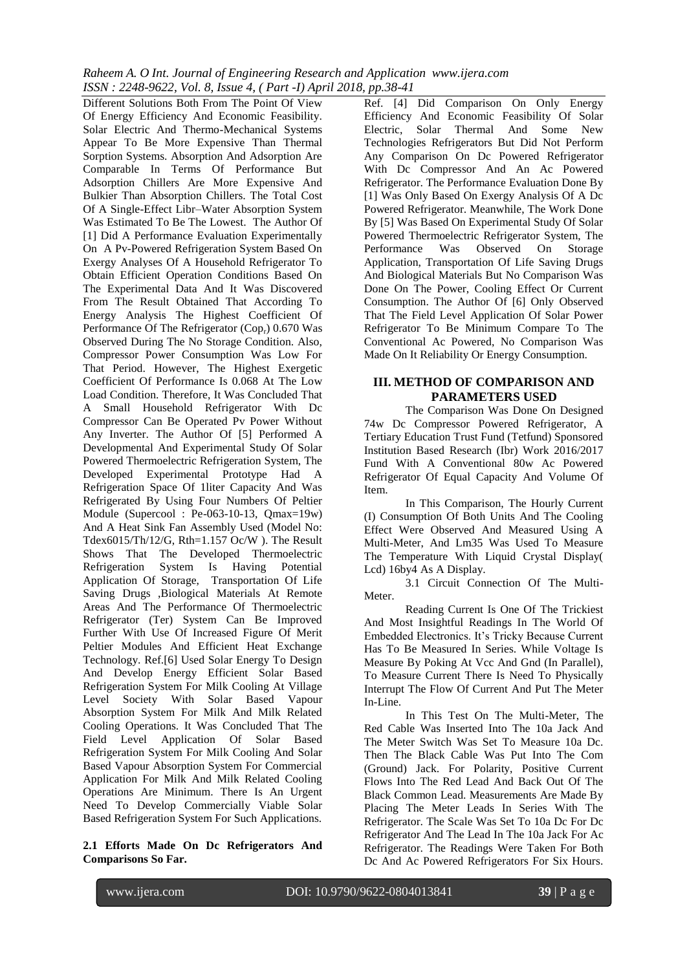*Raheem A. O Int. Journal of Engineering Research and Application www.ijera.com ISSN : 2248-9622, Vol. 8, Issue 4, ( Part -I) April 2018, pp.38-41*

Different Solutions Both From The Point Of View Of Energy Efficiency And Economic Feasibility. Solar Electric And Thermo-Mechanical Systems Appear To Be More Expensive Than Thermal Sorption Systems. Absorption And Adsorption Are Comparable In Terms Of Performance But Adsorption Chillers Are More Expensive And Bulkier Than Absorption Chillers. The Total Cost Of A Single-Effect Libr–Water Absorption System Was Estimated To Be The Lowest. The Author Of [1] Did A Performance Evaluation Experimentally On A Pv-Powered Refrigeration System Based On Exergy Analyses Of A Household Refrigerator To Obtain Efficient Operation Conditions Based On The Experimental Data And It Was Discovered From The Result Obtained That According To Energy Analysis The Highest Coefficient Of Performance Of The Refrigerator  $(Cop_r)$  0.670 Was Observed During The No Storage Condition. Also, Compressor Power Consumption Was Low For That Period. However, The Highest Exergetic Coefficient Of Performance Is 0.068 At The Low Load Condition. Therefore, It Was Concluded That A Small Household Refrigerator With Dc Compressor Can Be Operated Pv Power Without Any Inverter. The Author Of [5] Performed A Developmental And Experimental Study Of Solar Powered Thermoelectric Refrigeration System, The Developed Experimental Prototype Had A Refrigeration Space Of 1liter Capacity And Was Refrigerated By Using Four Numbers Of Peltier Module (Supercool : Pe-063-10-13, Qmax=19w) And A Heat Sink Fan Assembly Used (Model No: Tdex6015/Th/12/G, Rth=1.157 Oc/W ). The Result Shows That The Developed Thermoelectric Refrigeration System Is Having Potential Application Of Storage, Transportation Of Life Saving Drugs ,Biological Materials At Remote Areas And The Performance Of Thermoelectric Refrigerator (Ter) System Can Be Improved Further With Use Of Increased Figure Of Merit Peltier Modules And Efficient Heat Exchange Technology. Ref.[6] Used Solar Energy To Design And Develop Energy Efficient Solar Based Refrigeration System For Milk Cooling At Village Level Society With Solar Based Vapour Absorption System For Milk And Milk Related Cooling Operations. It Was Concluded That The Field Level Application Of Solar Based Refrigeration System For Milk Cooling And Solar Based Vapour Absorption System For Commercial Application For Milk And Milk Related Cooling Operations Are Minimum. There Is An Urgent Need To Develop Commercially Viable Solar Based Refrigeration System For Such Applications.

**2.1 Efforts Made On Dc Refrigerators And Comparisons So Far.**

Ref. [4] Did Comparison On Only Energy Efficiency And Economic Feasibility Of Solar Electric, Solar Thermal And Some New Technologies Refrigerators But Did Not Perform Any Comparison On Dc Powered Refrigerator With Dc Compressor And An Ac Powered Refrigerator. The Performance Evaluation Done By [1] Was Only Based On Exergy Analysis Of A Dc Powered Refrigerator. Meanwhile, The Work Done By [5] Was Based On Experimental Study Of Solar Powered Thermoelectric Refrigerator System, The Performance Was Observed On Storage Application, Transportation Of Life Saving Drugs And Biological Materials But No Comparison Was Done On The Power, Cooling Effect Or Current Consumption. The Author Of [6] Only Observed That The Field Level Application Of Solar Power Refrigerator To Be Minimum Compare To The Conventional Ac Powered, No Comparison Was Made On It Reliability Or Energy Consumption.

## **III. METHOD OF COMPARISON AND PARAMETERS USED**

The Comparison Was Done On Designed 74w Dc Compressor Powered Refrigerator, A Tertiary Education Trust Fund (Tetfund) Sponsored Institution Based Research (Ibr) Work 2016/2017 Fund With A Conventional 80w Ac Powered Refrigerator Of Equal Capacity And Volume Of Item.

In This Comparison, The Hourly Current (I) Consumption Of Both Units And The Cooling Effect Were Observed And Measured Using A Multi-Meter, And Lm35 Was Used To Measure The Temperature With Liquid Crystal Display( Lcd) 16by4 As A Display.

3.1 Circuit Connection Of The Multi-Meter.

Reading Current Is One Of The Trickiest And Most Insightful Readings In The World Of Embedded Electronics. It's Tricky Because Current Has To Be Measured In Series. While Voltage Is Measure By Poking At Vcc And Gnd (In Parallel), To Measure Current There Is Need To Physically Interrupt The Flow Of Current And Put The Meter In-Line.

In This Test On The Multi-Meter, The Red Cable Was Inserted Into The 10a Jack And The Meter Switch Was Set To Measure 10a Dc. Then The Black Cable Was Put Into The Com (Ground) Jack. For Polarity, Positive Current Flows Into The Red Lead And Back Out Of The Black Common Lead. Measurements Are Made By Placing The Meter Leads In Series With The Refrigerator. The Scale Was Set To 10a Dc For Dc Refrigerator And The Lead In The 10a Jack For Ac Refrigerator. The Readings Were Taken For Both Dc And Ac Powered Refrigerators For Six Hours.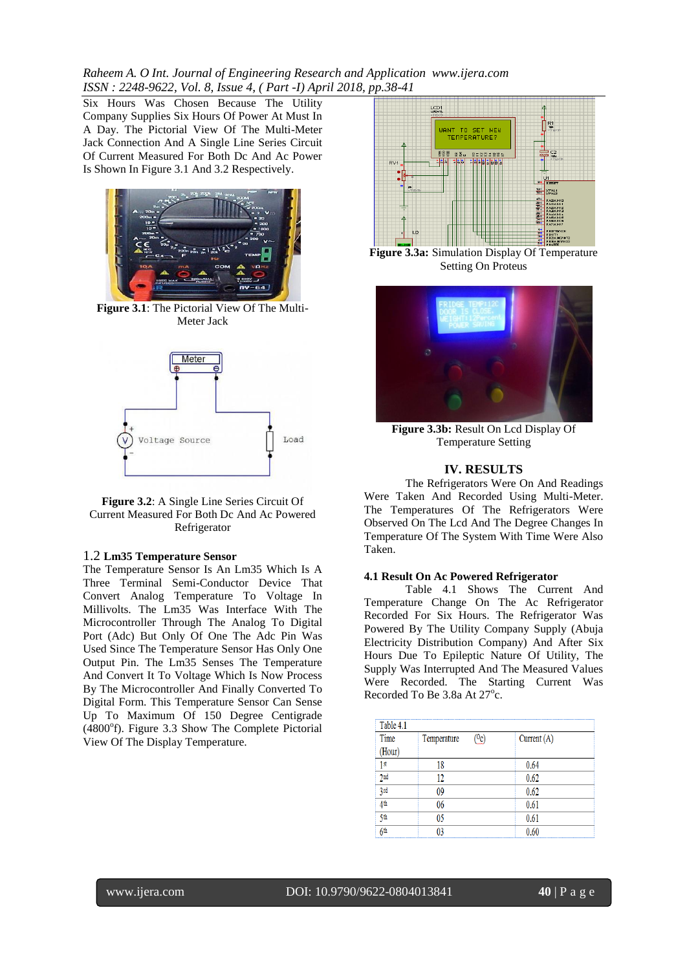*Raheem A. O Int. Journal of Engineering Research and Application www.ijera.com ISSN : 2248-9622, Vol. 8, Issue 4, ( Part -I) April 2018, pp.38-41*

Six Hours Was Chosen Because The Utility Company Supplies Six Hours Of Power At Must In A Day. The Pictorial View Of The Multi-Meter Jack Connection And A Single Line Series Circuit Of Current Measured For Both Dc And Ac Power Is Shown In Figure 3.1 And 3.2 Respectively.



**Figure 3.1**: The Pictorial View Of The Multi-Meter Jack



**Figure 3.2**: A Single Line Series Circuit Of Current Measured For Both Dc And Ac Powered Refrigerator

#### 1.2 **Lm35 Temperature Sensor**

The Temperature Sensor Is An Lm35 Which Is A Three Terminal Semi-Conductor Device That Convert Analog Temperature To Voltage In Millivolts. The Lm35 Was Interface With The Microcontroller Through The Analog To Digital Port (Adc) But Only Of One The Adc Pin Was Used Since The Temperature Sensor Has Only One Output Pin. The Lm35 Senses The Temperature And Convert It To Voltage Which Is Now Process By The Microcontroller And Finally Converted To Digital Form. This Temperature Sensor Can Sense Up To Maximum Of 150 Degree Centigrade (4800°f). Figure 3.3 Show The Complete Pictorial View Of The Display Temperature.



**Figure 3.3a:** Simulation Display Of Temperature Setting On Proteus



**Figure 3.3b:** Result On Lcd Display Of Temperature Setting

#### **IV. RESULTS**

The Refrigerators Were On And Readings Were Taken And Recorded Using Multi-Meter. The Temperatures Of The Refrigerators Were Observed On The Lcd And The Degree Changes In Temperature Of The System With Time Were Also Taken.

#### **4.1 Result On Ac Powered Refrigerator**

Table 4.1 Shows The Current And Temperature Change On The Ac Refrigerator Recorded For Six Hours. The Refrigerator Was Powered By The Utility Company Supply (Abuja Electricity Distribution Company) And After Six Hours Due To Epileptic Nature Of Utility, The Supply Was Interrupted And The Measured Values Were Recorded. The Starting Current Was Recorded To Be 3.8a At 27°c.

| Table 4.1       |             |    |               |  |  |  |
|-----------------|-------------|----|---------------|--|--|--|
| Time            | Temperature | სე | Current $(A)$ |  |  |  |
| (Hour)          |             |    |               |  |  |  |
| 1 st            | 18          |    | 0.64          |  |  |  |
| 2 <sub>nd</sub> | 12          |    | 0.62          |  |  |  |
| 3rd             | 09          |    | 0.62          |  |  |  |
| 4 <sup>th</sup> | 06          |    | 0.61          |  |  |  |
| 5th             | 05          |    | 0.61          |  |  |  |
| Кth             |             |    | 0.60          |  |  |  |